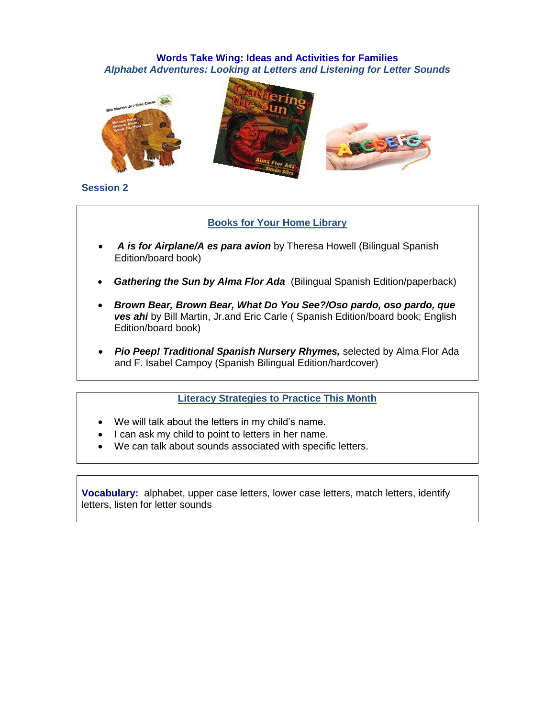# **Words Take Wing: Ideas and Activities for Families** *Alphabet Adventures: Looking at Letters and Listening for Letter Sounds*





#### **Session 2**

# **Books for Your Home Library**

- *A is for Airplane/A es para avion* by Theresa Howell (Bilingual Spanish Edition/board book)
- *Gathering the Sun by Alma Flor Ada* (Bilingual Spanish Edition/paperback)
- *Brown Bear, Brown Bear, What Do You See?/Oso pardo, oso pardo, que ves ahi* by Bill Martin, Jr.and Eric Carle ( Spanish Edition/board book; English Edition/board book)
- *Pio Peep! Traditional Spanish Nursery Rhymes,* selected by Alma Flor Ada and F. Isabel Campoy (Spanish Bilingual Edition/hardcover)

#### **Literacy Strategies to Practice This Month**

- We will talk about the letters in my child's name.
- I can ask my child to point to letters in her name.
- We can talk about sounds associated with specific letters.

**Vocabulary:** alphabet, upper case letters, lower case letters, match letters, identify letters, listen for letter sounds